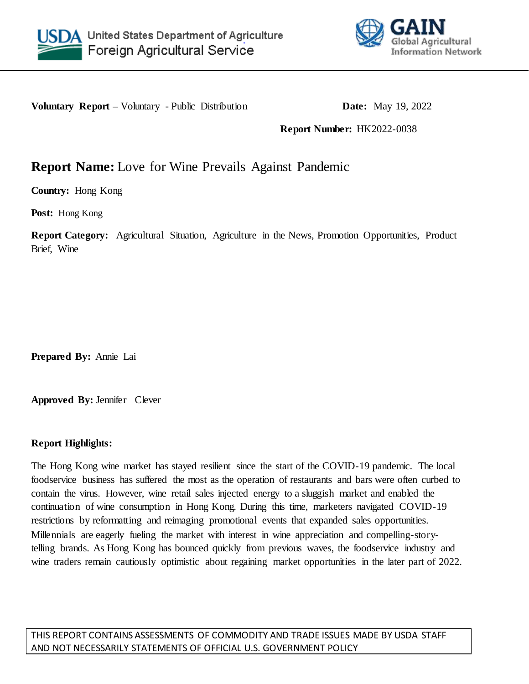



**Voluntary Report –** Voluntary - Public Distribution **Date:** May 19, 2022

**Report Number:** HK2022-0038

# **Report Name:** Love for Wine Prevails Against Pandemic

**Country:** Hong Kong

**Post:** Hong Kong

**Report Category:** Agricultural Situation, Agriculture in the News, Promotion Opportunities, Product Brief, Wine

**Prepared By:** Annie Lai

**Approved By:** Jennifer Clever

## **Report Highlights:**

The Hong Kong wine market has stayed resilient since the start of the COVID-19 pandemic. The local foodservice business has suffered the most as the operation of restaurants and bars were often curbed to contain the virus. However, wine retail sales injected energy to a sluggish market and enabled the continuation of wine consumption in Hong Kong. During this time, marketers navigated COVID-19 restrictions by reformatting and reimaging promotional events that expanded sales opportunities. Millennials are eagerly fueling the market with interest in wine appreciation and compelling-storytelling brands. As Hong Kong has bounced quickly from previous waves, the foodservice industry and wine traders remain cautiously optimistic about regaining market opportunities in the later part of 2022.

THIS REPORT CONTAINS ASSESSMENTS OF COMMODITY AND TRADE ISSUES MADE BY USDA STAFF AND NOT NECESSARILY STATEMENTS OF OFFICIAL U.S. GOVERNMENT POLICY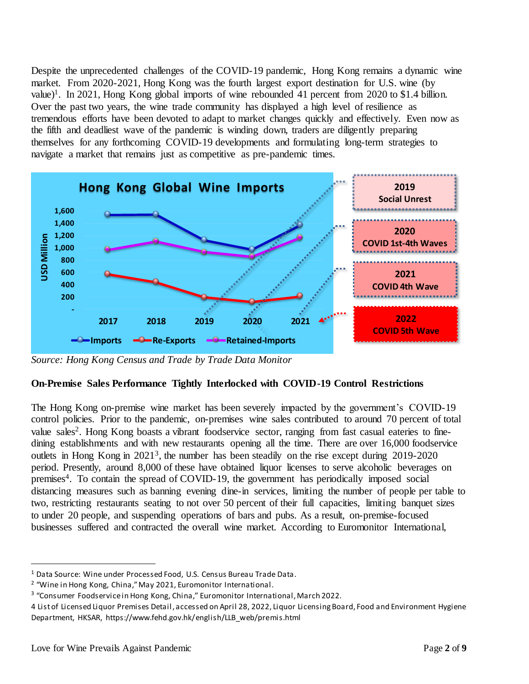Despite the unprecedented challenges of the COVID-19 pandemic, Hong Kong remains a dynamic wine market. From 2020-2021, Hong Kong was the fourth largest export destination for U.S. wine (by value)<sup>1</sup>. In 2021, Hong Kong global imports of wine rebounded 41 percent from 2020 to \$1.4 billion. Over the past two years, the wine trade community has displayed a high level of resilience as tremendous efforts have been devoted to adapt to market changes quickly and effectively. Even now as the fifth and deadliest wave of the pandemic is winding down, traders are diligently preparing themselves for any forthcoming COVID-19 developments and formulating long-term strategies to navigate a market that remains just as competitive as pre-pandemic times.



*Source: Hong Kong Census and Trade by Trade Data Monitor*

## **On-Premise Sales Performance Tightly Interlocked with COVID-19 Control Restrictions**

The Hong Kong on-premise wine market has been severely impacted by the government's COVID-19 control policies. Prior to the pandemic, on-premises wine sales contributed to around 70 percent of total value sales<sup>2</sup>. Hong Kong boasts a vibrant foodservice sector, ranging from fast casual eateries to finedining establishments and with new restaurants opening all the time. There are over 16,000 foodservice outlets in Hong Kong in 2021<sup>3</sup>, the number has been steadily on the rise except during 2019-2020 period. Presently, around 8,000 of these have obtained liquor licenses to serve alcoholic beverages on premises<sup>4</sup>. To contain the spread of COVID-19, the government has periodically imposed social distancing measures such as banning evening dine-in services, limiting the number of people per table to two, restricting restaurants seating to not over 50 percent of their full capacities, limiting banquet sizes to under 20 people, and suspending operations of bars and pubs. As a result, on-premise-focused businesses suffered and contracted the overall wine market. According to Euromonitor International,

 $\overline{a}$ 

<sup>1</sup> Data Source: Wine under Processed Food, U.S. Census Bureau Trade Data.

<sup>&</sup>lt;sup>2</sup> "Wine in Hong Kong, China," May 2021, Euromonitor International.

<sup>&</sup>lt;sup>3</sup> "Consumer Foodservice in Hong Kong, China," Euromonitor International, March 2022.

<sup>4</sup> List of Licensed Liquor Premises Detail, accessed on April 28, 2022, Liquor Licensing Board, Food and Environment Hygiene Department, HKSAR, https://www.fehd.gov.hk/english/LLB\_web/premis.html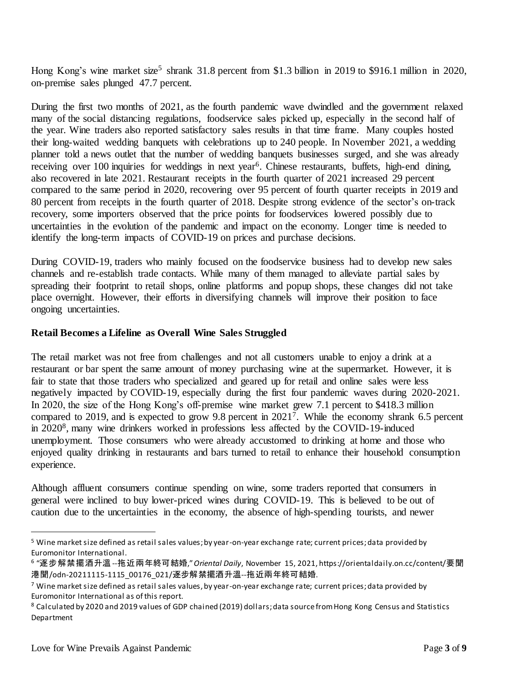Hong Kong's wine market size<sup>5</sup> shrank 31.8 percent from \$1.3 billion in 2019 to \$916.1 million in 2020, on-premise sales plunged 47.7 percent.

During the first two months of 2021, as the fourth pandemic wave dwindled and the government relaxed many of the social distancing regulations, foodservice sales picked up, especially in the second half of the year. Wine traders also reported satisfactory sales results in that time frame. Many couples hosted their long-waited wedding banquets with celebrations up to 240 people. In November 2021, a wedding planner told a news outlet that the number of wedding banquets businesses surged, and she was already receiving over 100 inquiries for weddings in next year<sup>6</sup>. Chinese restaurants, buffets, high-end dining, also recovered in late 2021. Restaurant receipts in the fourth quarter of 2021 increased 29 percent compared to the same period in 2020, recovering over 95 percent of fourth quarter receipts in 2019 and 80 percent from receipts in the fourth quarter of 2018. Despite strong evidence of the sector's on-track recovery, some importers observed that the price points for foodservices lowered possibly due to uncertainties in the evolution of the pandemic and impact on the economy. Longer time is needed to identify the long-term impacts of COVID-19 on prices and purchase decisions.

During COVID-19, traders who mainly focused on the foodservice business had to develop new sales channels and re-establish trade contacts. While many of them managed to alleviate partial sales by spreading their footprint to retail shops, online platforms and popup shops, these changes did not take place overnight. However, their efforts in diversifying channels will improve their position to face ongoing uncertainties.

### **Retail Becomes a Lifeline as Overall Wine Sales Struggled**

The retail market was not free from challenges and not all customers unable to enjoy a drink at a restaurant or bar spent the same amount of money purchasing wine at the supermarket. However, it is fair to state that those traders who specialized and geared up for retail and online sales were less negatively impacted by COVID-19, especially during the first four pandemic waves during 2020-2021. In 2020, the size of the Hong Kong's off-premise wine market grew 7.1 percent to \$418.3 million compared to 2019, and is expected to grow 9.8 percent in 2021<sup>7</sup> . While the economy shrank 6.5 percent in 2020<sup>8</sup> , many wine drinkers worked in professions less affected by the COVID-19-induced unemployment. Those consumers who were already accustomed to drinking at home and those who enjoyed quality drinking in restaurants and bars turned to retail to enhance their household consumption experience.

Although affluent consumers continue spending on wine, some traders reported that consumers in general were inclined to buy lower-priced wines during COVID-19. This is believed to be out of caution due to the uncertainties in the economy, the absence of high-spending tourists, and newer

 $\overline{a}$ 

<sup>5</sup> Wine market size defined as retail sales values; by year-on-year exchange rate; current prices; data provided by Euromonitor International.

<sup>6</sup> "逐步解禁擺酒升溫--拖近兩年終可結婚," *Oriental Daily*, November 15, 2021, https://orientaldaily.on.cc/content/要聞 港聞/odn-20211115-1115\_00176\_021/逐步解禁擺酒升溫--拖近兩年終可結婚.

 $7$  Wine market size defined as retail sales values, by year-on-year exchange rate; current prices; data provided by Euromonitor International as of this report.

<sup>8</sup> Calculated by 2020 and 2019 values of GDP chained (2019) dollars; data source from Hong Kong Census and Statistics Department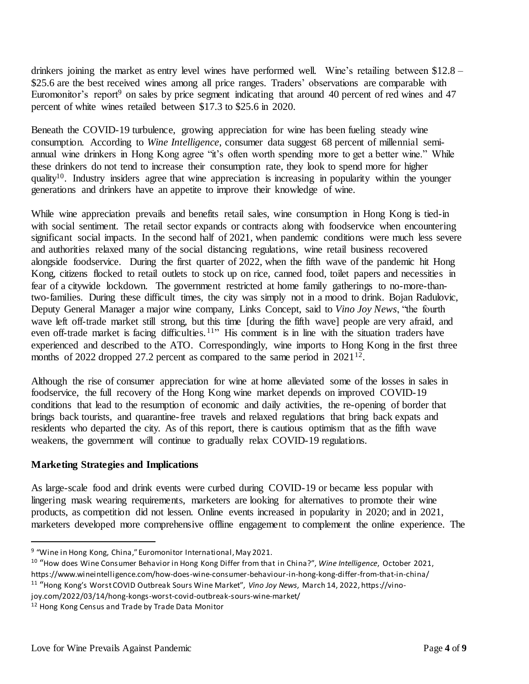drinkers joining the market as entry level wines have performed well. Wine's retailing between \$12.8 – \$25.6 are the best received wines among all price ranges. Traders' observations are comparable with Euromonitor's report<sup>9</sup> on sales by price segment indicating that around 40 percent of red wines and 47 percent of white wines retailed between \$17.3 to \$25.6 in 2020.

Beneath the COVID-19 turbulence, growing appreciation for wine has been fueling steady wine consumption. According to *Wine Intelligence*, consumer data suggest 68 percent of millennial semiannual wine drinkers in Hong Kong agree "it's often worth spending more to get a better wine." While these drinkers do not tend to increase their consumption rate, they look to spend more for higher quality<sup>10</sup>. Industry insiders agree that wine appreciation is increasing in popularity within the younger generations and drinkers have an appetite to improve their knowledge of wine.

While wine appreciation prevails and benefits retail sales, wine consumption in Hong Kong is tied-in with social sentiment. The retail sector expands or contracts along with foodservice when encountering significant social impacts. In the second half of 2021, when pandemic conditions were much less severe and authorities relaxed many of the social distancing regulations, wine retail business recovered alongside foodservice. During the first quarter of 2022, when the fifth wave of the pandemic hit Hong Kong, citizens flocked to retail outlets to stock up on rice, canned food, toilet papers and necessities in fear of a citywide lockdown. The government restricted at home family gatherings to no-more-thantwo-families. During these difficult times, the city was simply not in a mood to drink. Bojan Radulovic, Deputy General Manager a major wine company, Links Concept, said to *Vino Joy News*, "the fourth wave left off-trade market still strong, but this time [during the fifth wave] people are very afraid, and even off-trade market is facing difficulties.<sup>11</sup>" His comment is in line with the situation traders have experienced and described to the ATO. Correspondingly, wine imports to Hong Kong in the first three months of 2022 dropped 27.2 percent as compared to the same period in  $2021^{12}$ .

Although the rise of consumer appreciation for wine at home alleviated some of the losses in sales in foodservice, the full recovery of the Hong Kong wine market depends on improved COVID-19 conditions that lead to the resumption of economic and daily activities, the re-opening of border that brings back tourists, and quarantine-free travels and relaxed regulations that bring back expats and residents who departed the city. As of this report, there is cautious optimism that as the fifth wave weakens, the government will continue to gradually relax COVID-19 regulations.

#### **Marketing Strategies and Implications**

 $\overline{a}$ 

As large-scale food and drink events were curbed during COVID-19 or became less popular with lingering mask wearing requirements, marketers are looking for alternatives to promote their wine products, as competition did not lessen. Online events increased in popularity in 2020; and in 2021, marketers developed more comprehensive offline engagement to complement the online experience. The

<sup>9</sup> "Wine in Hong Kong, China," Euromonitor International, May 2021.

<sup>10</sup> "How does Wine Consumer Behavior in Hong Kong Differ from that in China?", *Wine Intelligence*, October 2021, https://www.wineintelligence.com/how-does-wine-consumer-behaviour-in-hong-kong-differ-from-that-in-china/

<sup>&</sup>lt;sup>11</sup> "Hong Kong's Worst COVID Outbreak Sours Wine Market", *Vino Joy News*, March 14, 2022, https://vino-

joy.com/2022/03/14/hong-kongs-worst-covid-outbreak-sours-wine-market/

<sup>12</sup> Hong Kong Census and Trade by Trade Data Monitor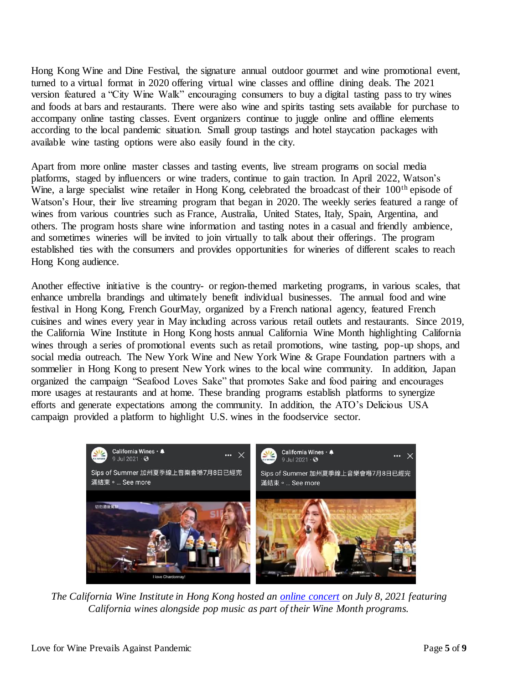Hong Kong Wine and Dine Festival, the signature annual outdoor gourmet and wine promotional event, turned to a virtual format in 2020 offering virtual wine classes and offline dining deals. The 2021 version featured a "City Wine Walk" encouraging consumers to buy a digital tasting pass to try wines and foods at bars and restaurants. There were also wine and spirits tasting sets available for purchase to accompany online tasting classes. Event organizers continue to juggle online and offline elements according to the local pandemic situation. Small group tastings and hotel staycation packages with available wine tasting options were also easily found in the city.

Apart from more online master classes and tasting events, live stream programs on social media platforms, staged by influencers or wine traders, continue to gain traction. In April 2022, Watson's Wine, a large specialist wine retailer in Hong Kong, celebrated the broadcast of their 100<sup>th</sup> episode of Watson's Hour, their live streaming program that began in 2020. The weekly series featured a range of wines from various countries such as France, Australia, United States, Italy, Spain, Argentina, and others. The program hosts share wine information and tasting notes in a casual and friendly ambience, and sometimes wineries will be invited to join virtually to talk about their offerings. The program established ties with the consumers and provides opportunities for wineries of different scales to reach Hong Kong audience.

Another effective initiative is the country- or region-themed marketing programs, in various scales, that enhance umbrella brandings and ultimately benefit individual businesses. The annual food and wine festival in Hong Kong, French GourMay, organized by a French national agency, featured French cuisines and wines every year in May including across various retail outlets and restaurants. Since 2019, the California Wine Institute in Hong Kong hosts annual California Wine Month highlighting California wines through a series of promotional events such as retail promotions, wine tasting, pop-up shops, and social media outreach. The New York Wine and New York Wine & Grape Foundation partners with a sommelier in Hong Kong to present New York wines to the local wine community. In addition, Japan organized the campaign "Seafood Loves Sake" that promotes Sake and food pairing and encourages more usages at restaurants and at home. These branding programs establish platforms to synergize efforts and generate expectations among the community. In addition, the ATO's Delicious USA campaign provided a platform to highlight U.S. wines in the foodservice sector.



*The California Wine Institute in Hong Kong hosted an [online concert](https://fb.watch/cVT0J597q5/) on July 8, 2021 featuring California wines alongside pop music as part of their Wine Month programs.*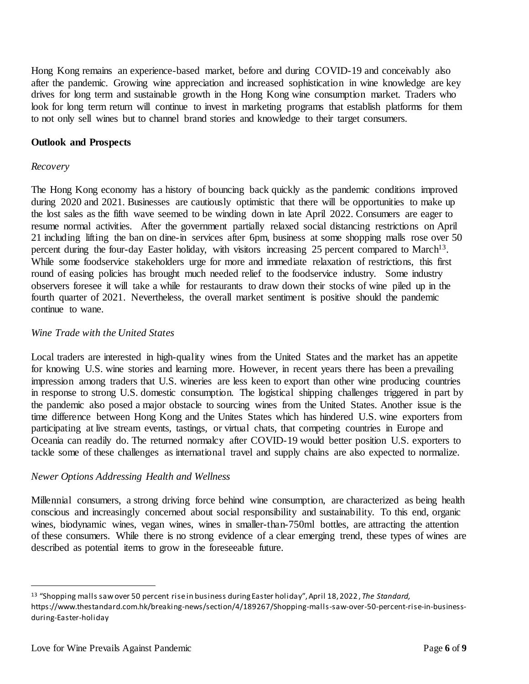Hong Kong remains an experience-based market, before and during COVID-19 and conceivably also after the pandemic. Growing wine appreciation and increased sophistication in wine knowledge are key drives for long term and sustainable growth in the Hong Kong wine consumption market. Traders who look for long term return will continue to invest in marketing programs that establish platforms for them to not only sell wines but to channel brand stories and knowledge to their target consumers.

### **Outlook and Prospects**

#### *Recovery*

The Hong Kong economy has a history of bouncing back quickly as the pandemic conditions improved during 2020 and 2021. Businesses are cautiously optimistic that there will be opportunities to make up the lost sales as the fifth wave seemed to be winding down in late April 2022. Consumers are eager to resume normal activities. After the government partially relaxed social distancing restrictions on April 21 including lifting the ban on dine-in services after 6pm, business at some shopping malls rose over 50 percent during the four-day Easter holiday, with visitors increasing 25 percent compared to March<sup>13</sup>. While some foodservice stakeholders urge for more and immediate relaxation of restrictions, this first round of easing policies has brought much needed relief to the foodservice industry. Some industry observers foresee it will take a while for restaurants to draw down their stocks of wine piled up in the fourth quarter of 2021. Nevertheless, the overall market sentiment is positive should the pandemic continue to wane.

### *Wine Trade with the United States*

Local traders are interested in high-quality wines from the United States and the market has an appetite for knowing U.S. wine stories and learning more. However, in recent years there has been a prevailing impression among traders that U.S. wineries are less keen to export than other wine producing countries in response to strong U.S. domestic consumption. The logistical shipping challenges triggered in part by the pandemic also posed a major obstacle to sourcing wines from the United States. Another issue is the time difference between Hong Kong and the Unites States which has hindered U.S. wine exporters from participating at live stream events, tastings, or virtual chats, that competing countries in Europe and Oceania can readily do. The returned normalcy after COVID-19 would better position U.S. exporters to tackle some of these challenges as international travel and supply chains are also expected to normalize.

#### *Newer Options Addressing Health and Wellness*

Millennial consumers, a strong driving force behind wine consumption, are characterized as being health conscious and increasingly concerned about social responsibility and sustainability. To this end, organic wines, biodynamic wines, vegan wines, wines in smaller-than-750ml bottles, are attracting the attention of these consumers. While there is no strong evidence of a clear emerging trend, these types of wines are described as potential items to grow in the foreseeable future.

 $\overline{a}$ 

<sup>13</sup> "Shopping malls saw over 50 percent rise in business during Easter holiday", April 18, 2022 , *The Standard,*  https://www.thestandard.com.hk/breaking-news/section/4/189267/Shopping-malls-saw-over-50-percent-rise-in-businessduring-Easter-holiday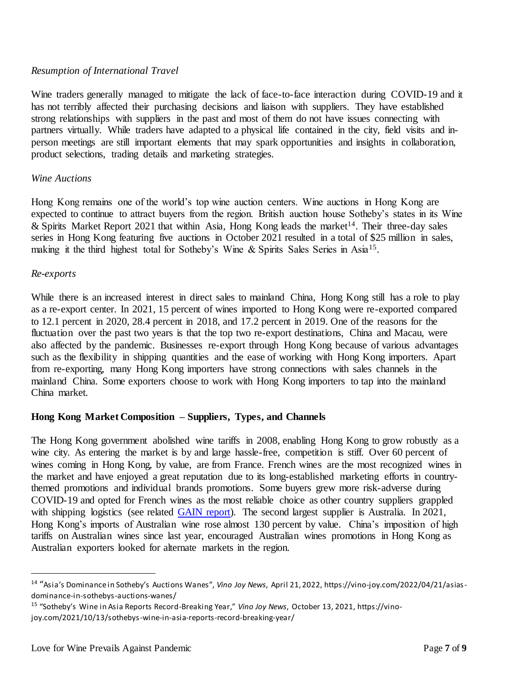## *Resumption of International Travel*

Wine traders generally managed to mitigate the lack of face-to-face interaction during COVID-19 and it has not terribly affected their purchasing decisions and liaison with suppliers. They have established strong relationships with suppliers in the past and most of them do not have issues connecting with partners virtually. While traders have adapted to a physical life contained in the city, field visits and inperson meetings are still important elements that may spark opportunities and insights in collaboration, product selections, trading details and marketing strategies.

### *Wine Auctions*

Hong Kong remains one of the world's top wine auction centers. Wine auctions in Hong Kong are expected to continue to attract buyers from the region. British auction house Sotheby's states in its Wine & Spirits Market Report 2021 that within Asia, Hong Kong leads the market<sup>14</sup>. Their three-day sales series in Hong Kong featuring five auctions in October 2021 resulted in a total of \$25 million in sales, making it the third highest total for Sotheby's Wine & Spirits Sales Series in Asia<sup>15</sup>.

### *Re-exports*

 $\overline{a}$ 

While there is an increased interest in direct sales to mainland China, Hong Kong still has a role to play as a re-export center. In 2021, 15 percent of wines imported to Hong Kong were re-exported compared to 12.1 percent in 2020, 28.4 percent in 2018, and 17.2 percent in 2019. One of the reasons for the fluctuation over the past two years is that the top two re-export destinations, China and Macau, were also affected by the pandemic. Businesses re-export through Hong Kong because of various advantages such as the flexibility in shipping quantities and the ease of working with Hong Kong importers. Apart from re-exporting, many Hong Kong importers have strong connections with sales channels in the mainland China. Some exporters choose to work with Hong Kong importers to tap into the mainland China market.

## **Hong Kong Market Composition – Suppliers, Types, and Channels**

The Hong Kong government abolished wine tariffs in 2008, enabling Hong Kong to grow robustly as a wine city. As entering the market is by and large hassle-free, competition is stiff. Over 60 percent of wines coming in Hong Kong, by value, are from France. French wines are the most recognized wines in the market and have enjoyed a great reputation due to its long-established marketing efforts in countrythemed promotions and individual brands promotions. Some buyers grew more risk-adverse during COVID-19 and opted for French wines as the most reliable choice as other country suppliers grappled with shipping logistics (see related [GAIN report\)](https://apps.fas.usda.gov/newgainapi/api/Report/DownloadReportByFileName?fileName=Flight%20Suspensions%20Add%20to%20US%20Agricultural%20Shipping%20Woes_Hong%20Kong_Hong%20Kong_01-14-2022). The second largest supplier is Australia. In 2021, Hong Kong's imports of Australian wine rose almost 130 percent by value. China's imposition of high tariffs on Australian wines since last year, encouraged Australian wines promotions in Hong Kong as Australian exporters looked for alternate markets in the region.

<sup>14</sup> "Asia's Dominance in Sotheby's Auctions Wanes", *Vino Joy News*, April 21, 2022, https://vino-joy.com/2022/04/21/asiasdominance-in-sothebys-auctions-wanes/

<sup>&</sup>lt;sup>15</sup> "Sotheby's Wine in Asia Reports Record-Breaking Year," *Vino Joy News*, October 13, 2021, https://vinojoy.com/2021/10/13/sothebys-wine-in-asia-reports-record-breaking-year/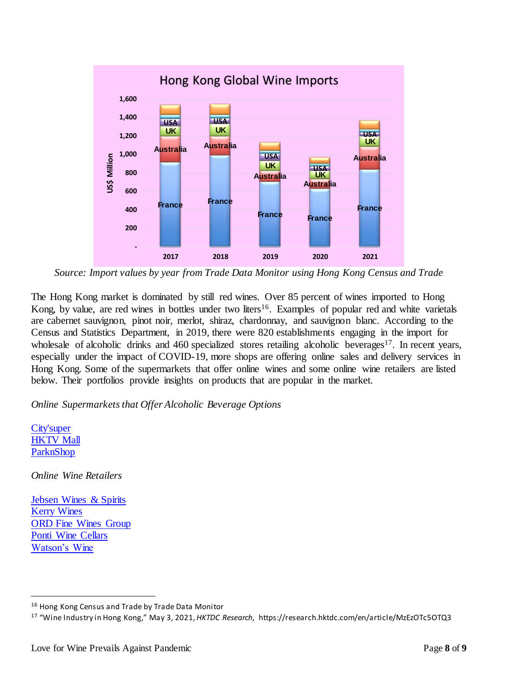

*Source: Import values by year from Trade Data Monitor using Hong Kong Census and Trade*

The Hong Kong market is dominated by still red wines. Over 85 percent of wines imported to Hong Kong, by value, are red wines in bottles under two liters<sup>16</sup>. Examples of popular red and white varietals are cabernet sauvignon, pinot noir, merlot, shiraz, chardonnay, and sauvignon blanc. According to the Census and Statistics Department, in 2019, there were 820 establishments engaging in the import for wholesale of alcoholic drinks and 460 specialized stores retailing alcoholic beverages<sup>17</sup>. In recent years, especially under the impact of COVID-19, more shops are offering online sales and delivery services in Hong Kong. Some of the supermarkets that offer online wines and some online wine retailers are listed below. Their portfolios provide insights on products that are popular in the market.

## *Online Supermarkets that Offer Alcoholic Beverage Options*

[City'super](https://online.citysuper.com.hk/collections/wine-and-sake) **[HKTV Mall](https://www.hktvmall.com/hktv/en/supermarket)** [ParknShop](https://www.parknshop.com/)

 $\overline{a}$ 

*Online Wine Retailers*

[Jebsen Wines & Spirits](https://www.jebsenwinesandspirits.com/) [Kerry Wines](https://www.kerrywines.com/) [ORD Fine Wines Group](https://www.onereddot.com/en/) [Ponti Wine Cellars](https://www.pontiwinecellars.com.hk/) [Watson's Wine](https://www.watsonswine.com/)

<sup>16</sup> Hong Kong Census and Trade by Trade Data Monitor

<sup>17</sup> "Wine Industry in Hong Kong," May 3, 2021, *HKTDC Research,* https://research.hktdc.com/en/article/MzEzOTc5OTQ3